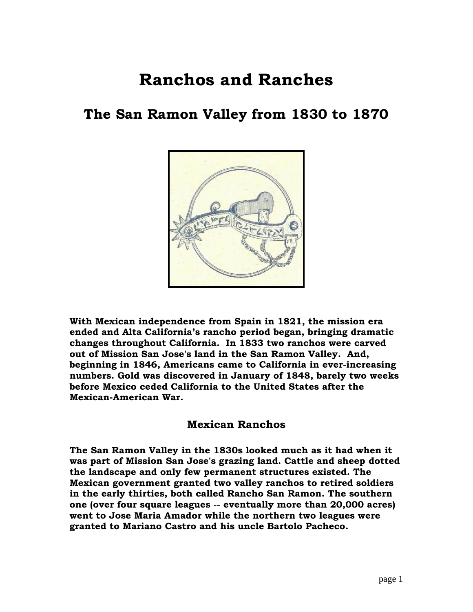# **Ranchos and Ranches**

# **The San Ramon Valley from 1830 to 1870**



**With Mexican independence from Spain in 1821, the mission era ended and Alta California's rancho period began, bringing dramatic changes throughout California. In 1833 two ranchos were carved out of Mission San Jose's land in the San Ramon Valley. And, beginning in 1846, Americans came to California in ever-increasing numbers. Gold was discovered in January of 1848, barely two weeks before Mexico ceded California to the United States after the Mexican-American War.** 

### **Mexican Ranchos**

**The San Ramon Valley in the 1830s looked much as it had when it was part of Mission San Jose's grazing land. Cattle and sheep dotted the landscape and only few permanent structures existed. The Mexican government granted two valley ranchos to retired soldiers in the early thirties, both called Rancho San Ramon. The southern one (over four square leagues -- eventually more than 20,000 acres) went to Jose Maria Amador while the northern two leagues were granted to Mariano Castro and his uncle Bartolo Pacheco.**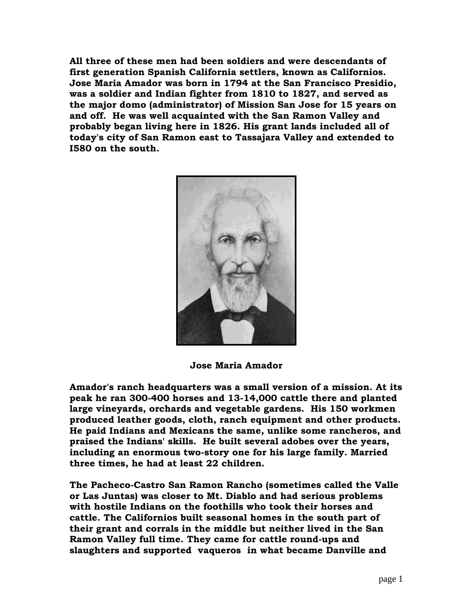**All three of these men had been soldiers and were descendants of first generation Spanish California settlers, known as Californios. Jose Maria Amador was born in 1794 at the San Francisco Presidio, was a soldier and Indian fighter from 1810 to 1827, and served as the major domo (administrator) of Mission San Jose for 15 years on and off. He was well acquainted with the San Ramon Valley and probably began living here in 1826. His grant lands included all of today's city of San Ramon east to Tassajara Valley and extended to I580 on the south.**



**Jose Maria Amador**

**Amador's ranch headquarters was a small version of a mission. At its peak he ran 300-400 horses and 13-14,000 cattle there and planted large vineyards, orchards and vegetable gardens. His 150 workmen produced leather goods, cloth, ranch equipment and other products. He paid Indians and Mexicans the same, unlike some rancheros, and praised the Indians' skills. He built several adobes over the years, including an enormous two-story one for his large family. Married three times, he had at least 22 children.**

**The Pacheco-Castro San Ramon Rancho (sometimes called the Valle or Las Juntas) was closer to Mt. Diablo and had serious problems with hostile Indians on the foothills who took their horses and cattle. The Californios built seasonal homes in the south part of their grant and corrals in the middle but neither lived in the San Ramon Valley full time. They came for cattle round-ups and slaughters and supported vaqueros in what became Danville and**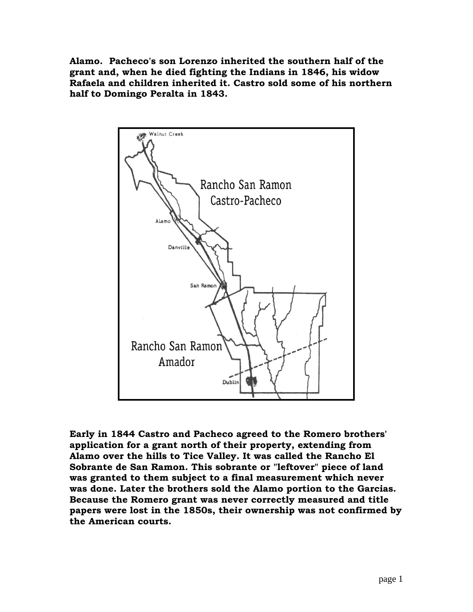**Alamo. Pacheco's son Lorenzo inherited the southern half of the grant and, when he died fighting the Indians in 1846, his widow Rafaela and children inherited it. Castro sold some of his northern half to Domingo Peralta in 1843.**



**Early in 1844 Castro and Pacheco agreed to the Romero brothers' application for a grant north of their property, extending from Alamo over the hills to Tice Valley. It was called the Rancho El Sobrante de San Ramon. This sobrante or "leftover" piece of land was granted to them subject to a final measurement which never was done. Later the brothers sold the Alamo portion to the Garcias. Because the Romero grant was never correctly measured and title papers were lost in the 1850s, their ownership was not confirmed by the American courts.**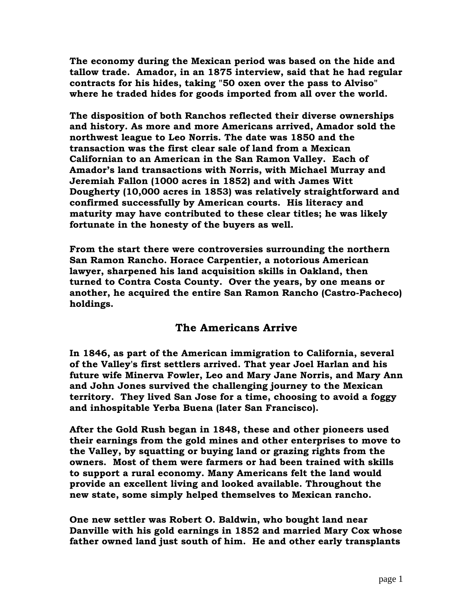**The economy during the Mexican period was based on the hide and tallow trade. Amador, in an 1875 interview, said that he had regular contracts for his hides, taking "50 oxen over the pass to Alviso" where he traded hides for goods imported from all over the world.** 

**The disposition of both Ranchos reflected their diverse ownerships and history. As more and more Americans arrived, Amador sold the northwest league to Leo Norris. The date was 1850 and the transaction was the first clear sale of land from a Mexican Californian to an American in the San Ramon Valley. Each of Amador's land transactions with Norris, with Michael Murray and Jeremiah Fallon (1000 acres in 1852) and with James Witt Dougherty (10,000 acres in 1853) was relatively straightforward and confirmed successfully by American courts. His literacy and maturity may have contributed to these clear titles; he was likely fortunate in the honesty of the buyers as well.**

**From the start there were controversies surrounding the northern San Ramon Rancho. Horace Carpentier, a notorious American lawyer, sharpened his land acquisition skills in Oakland, then turned to Contra Costa County. Over the years, by one means or another, he acquired the entire San Ramon Rancho (Castro-Pacheco) holdings.**

## **The Americans Arrive**

**In 1846, as part of the American immigration to California, several of the Valley's first settlers arrived. That year Joel Harlan and his future wife Minerva Fowler, Leo and Mary Jane Norris, and Mary Ann and John Jones survived the challenging journey to the Mexican territory. They lived San Jose for a time, choosing to avoid a foggy and inhospitable Yerba Buena (later San Francisco).**

**After the Gold Rush began in 1848, these and other pioneers used their earnings from the gold mines and other enterprises to move to the Valley, by squatting or buying land or grazing rights from the owners. Most of them were farmers or had been trained with skills to support a rural economy. Many Americans felt the land would provide an excellent living and looked available. Throughout the new state, some simply helped themselves to Mexican rancho.** 

**One new settler was Robert O. Baldwin, who bought land near Danville with his gold earnings in 1852 and married Mary Cox whose father owned land just south of him. He and other early transplants**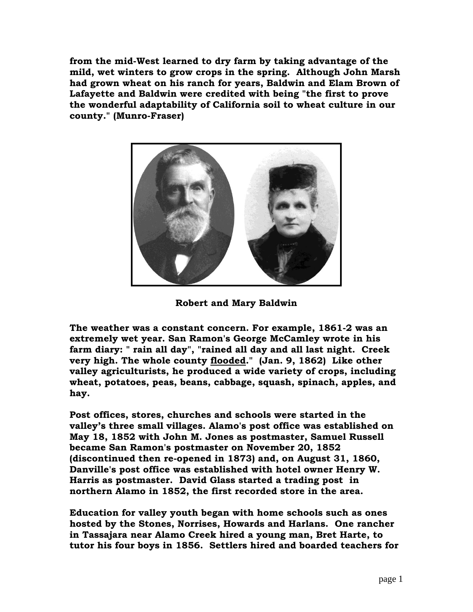**from the mid-West learned to dry farm by taking advantage of the mild, wet winters to grow crops in the spring. Although John Marsh had grown wheat on his ranch for years, Baldwin and Elam Brown of Lafayette and Baldwin were credited with being "the first to prove the wonderful adaptability of California soil to wheat culture in our county." (Munro-Fraser)**



**Robert and Mary Baldwin**

**The weather was a constant concern. For example, 1861-2 was an extremely wet year. San Ramon's George McCamley wrote in his farm diary: " rain all day", "rained all day and all last night. Creek very high. The whole county flooded." (Jan. 9, 1862) Like other valley agriculturists, he produced a wide variety of crops, including wheat, potatoes, peas, beans, cabbage, squash, spinach, apples, and hay.** 

**Post offices, stores, churches and schools were started in the valley's three small villages. Alamo's post office was established on May 18, 1852 with John M. Jones as postmaster, Samuel Russell became San Ramon's postmaster on November 20, 1852 (discontinued then re-opened in 1873) and, on August 31, 1860, Danville's post office was established with hotel owner Henry W. Harris as postmaster. David Glass started a trading post in northern Alamo in 1852, the first recorded store in the area.**

**Education for valley youth began with home schools such as ones hosted by the Stones, Norrises, Howards and Harlans. One rancher in Tassajara near Alamo Creek hired a young man, Bret Harte, to tutor his four boys in 1856. Settlers hired and boarded teachers for**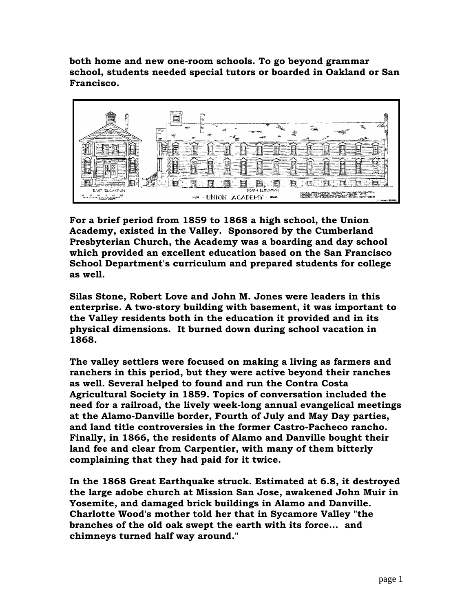**both home and new one-room schools. To go beyond grammar school, students needed special tutors or boarded in Oakland or San Francisco.** 



**For a brief period from 1859 to 1868 a high school, the Union Academy, existed in the Valley. Sponsored by the Cumberland Presbyterian Church, the Academy was a boarding and day school which provided an excellent education based on the San Francisco School Department's curriculum and prepared students for college as well.** 

**Silas Stone, Robert Love and John M. Jones were leaders in this enterprise. A two-story building with basement, it was important to the Valley residents both in the education it provided and in its physical dimensions. It burned down during school vacation in 1868.**

**The valley settlers were focused on making a living as farmers and ranchers in this period, but they were active beyond their ranches as well. Several helped to found and run the Contra Costa Agricultural Society in 1859. Topics of conversation included the need for a railroad, the lively week-long annual evangelical meetings at the Alamo-Danville border, Fourth of July and May Day parties, and land title controversies in the former Castro-Pacheco rancho. Finally, in 1866, the residents of Alamo and Danville bought their land fee and clear from Carpentier, with many of them bitterly complaining that they had paid for it twice.**

**In the 1868 Great Earthquake struck. Estimated at 6.8, it destroyed the large adobe church at Mission San Jose, awakened John Muir in Yosemite, and damaged brick buildings in Alamo and Danville. Charlotte Wood's mother told her that in Sycamore Valley "the branches of the old oak swept the earth with its force... and chimneys turned half way around."**